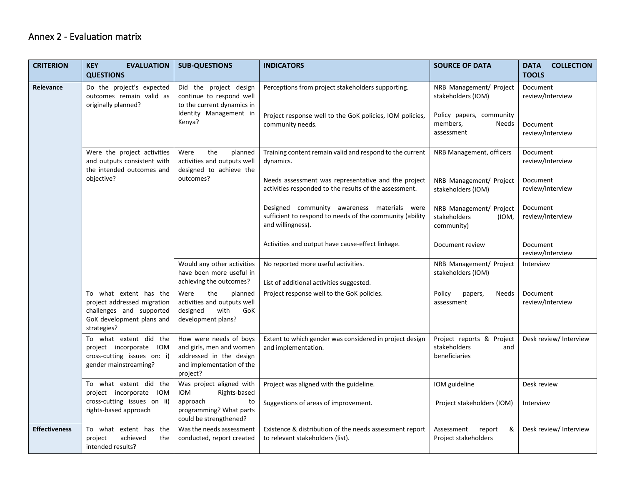## Annex 2 - Evaluation matrix

| <b>CRITERION</b>     | <b>KEY</b><br><b>EVALUATION</b><br><b>QUESTIONS</b>                                                                           | <b>SUB-QUESTIONS</b>                                                                                                          | <b>INDICATORS</b>                                                                                                                 | <b>SOURCE OF DATA</b>                                                                                        | <b>DATA</b><br><b>COLLECTION</b><br><b>TOOLS</b>             |
|----------------------|-------------------------------------------------------------------------------------------------------------------------------|-------------------------------------------------------------------------------------------------------------------------------|-----------------------------------------------------------------------------------------------------------------------------------|--------------------------------------------------------------------------------------------------------------|--------------------------------------------------------------|
| Relevance            | Do the project's expected<br>outcomes remain valid as<br>originally planned?                                                  | Did the project design<br>continue to respond well<br>to the current dynamics in<br>Identity Management in<br>Kenya?          | Perceptions from project stakeholders supporting.<br>Project response well to the GoK policies, IOM policies,<br>community needs. | NRB Management/ Project<br>stakeholders (IOM)<br>Policy papers, community<br>members,<br>Needs<br>assessment | Document<br>review/Interview<br>Document<br>review/Interview |
|                      | Were the project activities<br>and outputs consistent with<br>the intended outcomes and<br>objective?                         | the<br>Were<br>planned<br>activities and outputs well<br>designed to achieve the<br>outcomes?                                 | Training content remain valid and respond to the current<br>dynamics.                                                             | NRB Management, officers                                                                                     | Document<br>review/Interview                                 |
|                      |                                                                                                                               |                                                                                                                               | Needs assessment was representative and the project<br>activities responded to the results of the assessment.                     | NRB Management/ Project<br>stakeholders (IOM)                                                                | Document<br>review/Interview                                 |
|                      |                                                                                                                               |                                                                                                                               | Designed community awareness materials were<br>sufficient to respond to needs of the community (ability<br>and willingness).      | NRB Management/ Project<br>stakeholders<br>(IOM,<br>community)                                               | Document<br>review/Interview                                 |
|                      |                                                                                                                               |                                                                                                                               | Activities and output have cause-effect linkage.                                                                                  | Document review                                                                                              | Document<br>review/Interview                                 |
|                      |                                                                                                                               | Would any other activities<br>have been more useful in<br>achieving the outcomes?                                             | No reported more useful activities.<br>List of additional activities suggested.                                                   | NRB Management/ Project<br>stakeholders (IOM)                                                                | Interview                                                    |
|                      | To what extent has the<br>project addressed migration<br>challenges and supported<br>GoK development plans and<br>strategies? | Were<br>the<br>planned<br>activities and outputs well<br>designed<br>with<br>GoK<br>development plans?                        | Project response well to the GoK policies.                                                                                        | Policy<br>Needs<br>papers,<br>assessment                                                                     | Document<br>review/Interview                                 |
|                      | To what extent did the<br>project incorporate IOM<br>cross-cutting issues on: i)<br>gender mainstreaming?                     | How were needs of boys<br>and girls, men and women<br>addressed in the design<br>and implementation of the<br>project?        | Extent to which gender was considered in project design<br>and implementation.                                                    | Project reports & Project<br>stakeholders<br>and<br>beneficiaries                                            | Desk review/ Interview                                       |
|                      | To what extent did the<br>project incorporate IOM<br>cross-cutting issues on ii)<br>rights-based approach                     | Was project aligned with<br><b>IOM</b><br>Rights-based<br>approach<br>to<br>programming? What parts<br>could be strengthened? | Project was aligned with the guideline.<br>Suggestions of areas of improvement.                                                   | IOM guideline<br>Project stakeholders (IOM)                                                                  | Desk review<br>Interview                                     |
| <b>Effectiveness</b> | To what extent has the<br>achieved<br>the<br>project<br>intended results?                                                     | Was the needs assessment<br>conducted, report created                                                                         | Existence & distribution of the needs assessment report<br>to relevant stakeholders (list).                                       | Assessment<br>report<br>&<br>Project stakeholders                                                            | Desk review/ Interview                                       |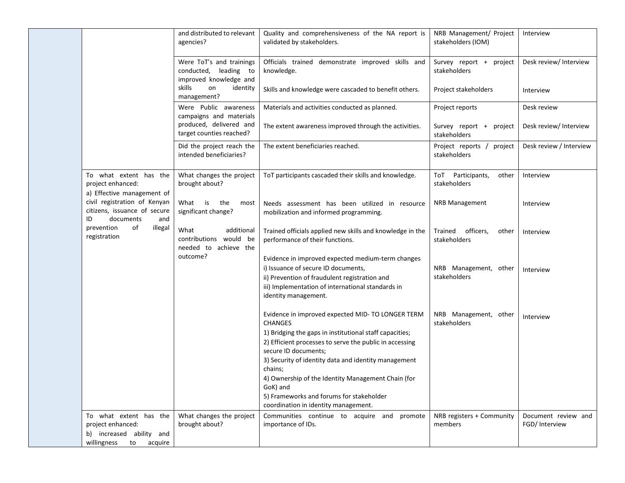|                                                                                                         | and distributed to relevant<br>agencies?                                    | Quality and comprehensiveness of the NA report is<br>validated by stakeholders.                                                                                                                                                                                                                                                                                                                                                            | NRB Management/ Project<br>stakeholders (IOM) | Interview                             |
|---------------------------------------------------------------------------------------------------------|-----------------------------------------------------------------------------|--------------------------------------------------------------------------------------------------------------------------------------------------------------------------------------------------------------------------------------------------------------------------------------------------------------------------------------------------------------------------------------------------------------------------------------------|-----------------------------------------------|---------------------------------------|
|                                                                                                         | Were ToT's and trainings<br>conducted, leading to<br>improved knowledge and | Officials trained demonstrate improved skills and<br>knowledge.                                                                                                                                                                                                                                                                                                                                                                            | Survey report +<br>project<br>stakeholders    | Desk review/ Interview                |
|                                                                                                         | skills<br>identity<br>on<br>management?                                     | Skills and knowledge were cascaded to benefit others.                                                                                                                                                                                                                                                                                                                                                                                      | Project stakeholders                          | Interview                             |
|                                                                                                         | Were Public awareness<br>campaigns and materials                            | Materials and activities conducted as planned.                                                                                                                                                                                                                                                                                                                                                                                             | Project reports                               | Desk review                           |
|                                                                                                         | produced, delivered and<br>target counties reached?                         | The extent awareness improved through the activities.                                                                                                                                                                                                                                                                                                                                                                                      | Survey report +<br>project<br>stakeholders    | Desk review/ Interview                |
|                                                                                                         | Did the project reach the<br>intended beneficiaries?                        | The extent beneficiaries reached.                                                                                                                                                                                                                                                                                                                                                                                                          | Project reports /<br>project<br>stakeholders  | Desk review / Interview               |
| To what extent has the<br>project enhanced:<br>a) Effective management of                               | What changes the project<br>brought about?                                  | ToT participants cascaded their skills and knowledge.                                                                                                                                                                                                                                                                                                                                                                                      | ToT Participants,<br>other<br>stakeholders    | Interview                             |
| civil registration of Kenyan<br>citizens, issuance of secure<br>documents<br>ID<br>and                  | What is the<br>most<br>significant change?                                  | Needs assessment has been utilized in resource<br>mobilization and informed programming.                                                                                                                                                                                                                                                                                                                                                   | <b>NRB Management</b>                         | Interview                             |
| prevention<br>of<br>illegal<br>registration                                                             | What<br>additional<br>contributions would be<br>needed to achieve the       | Trained officials applied new skills and knowledge in the<br>performance of their functions.                                                                                                                                                                                                                                                                                                                                               | officers,<br>Trained<br>other<br>stakeholders | Interview                             |
|                                                                                                         | outcome?                                                                    | Evidence in improved expected medium-term changes<br>i) Issuance of secure ID documents,<br>ii) Prevention of fraudulent registration and<br>iii) Implementation of international standards in<br>identity management.                                                                                                                                                                                                                     | NRB Management, other<br>stakeholders         | Interview                             |
|                                                                                                         |                                                                             | Evidence in improved expected MID- TO LONGER TERM<br><b>CHANGES</b><br>1) Bridging the gaps in institutional staff capacities;<br>2) Efficient processes to serve the public in accessing<br>secure ID documents;<br>3) Security of identity data and identity management<br>chains;<br>4) Ownership of the Identity Management Chain (for<br>GoK) and<br>5) Frameworks and forums for stakeholder<br>coordination in identity management. | NRB Management, other<br>stakeholders         | Interview                             |
| To what extent has the<br>project enhanced:<br>b) increased ability and<br>willingness<br>to<br>acquire | What changes the project<br>brought about?                                  | Communities continue to acquire and promote<br>importance of IDs.                                                                                                                                                                                                                                                                                                                                                                          | NRB registers + Community<br>members          | Document review and<br>FGD/ Interview |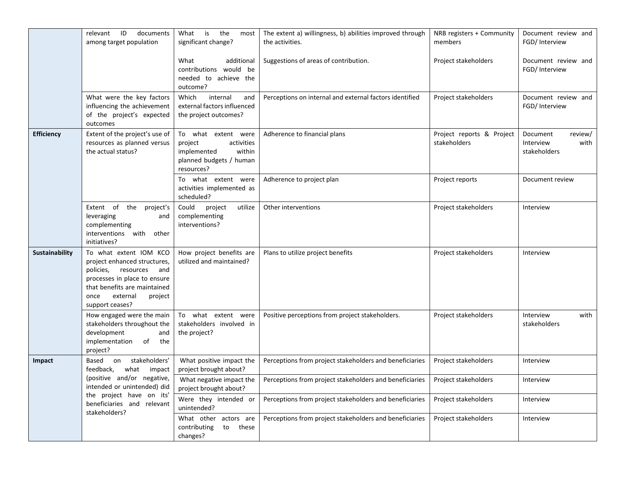|                   | documents<br>relevant<br>ID<br>among target population                                                                                                                                                    | What<br>is<br>the<br>most<br>significant change?                                                               | The extent a) willingness, b) abilities improved through<br>the activities. | NRB registers + Community<br>members      | Document review and<br>FGD/ Interview                    |
|-------------------|-----------------------------------------------------------------------------------------------------------------------------------------------------------------------------------------------------------|----------------------------------------------------------------------------------------------------------------|-----------------------------------------------------------------------------|-------------------------------------------|----------------------------------------------------------|
|                   |                                                                                                                                                                                                           | What<br>additional<br>contributions would be<br>needed to achieve the<br>outcome?                              | Suggestions of areas of contribution.                                       | Project stakeholders                      | Document review and<br>FGD/ Interview                    |
|                   | What were the key factors<br>influencing the achievement<br>of the project's expected<br>outcomes                                                                                                         | Which<br>internal<br>and<br>external factors influenced<br>the project outcomes?                               | Perceptions on internal and external factors identified                     | Project stakeholders                      | Document review and<br>FGD/ Interview                    |
| <b>Efficiency</b> | Extent of the project's use of<br>resources as planned versus<br>the actual status?                                                                                                                       | To what extent were<br>project<br>activities<br>implemented<br>within<br>planned budgets / human<br>resources? | Adherence to financial plans                                                | Project reports & Project<br>stakeholders | review/<br>Document<br>Interview<br>with<br>stakeholders |
|                   |                                                                                                                                                                                                           | To what extent were<br>activities implemented as<br>scheduled?                                                 | Adherence to project plan                                                   | Project reports                           | Document review                                          |
|                   | Extent of the<br>project's<br>leveraging<br>and<br>complementing<br>interventions with<br>other<br>initiatives?                                                                                           | Could<br>project<br>utilize<br>complementing<br>interventions?                                                 | Other interventions                                                         | Project stakeholders                      | Interview                                                |
| Sustainability    | To what extent IOM KCO<br>project enhanced structures,<br>policies,<br>resources<br>and<br>processes in place to ensure<br>that benefits are maintained<br>external<br>once<br>project<br>support ceases? | How project benefits are<br>utilized and maintained?                                                           | Plans to utilize project benefits                                           | Project stakeholders                      | Interview                                                |
|                   | How engaged were the main<br>stakeholders throughout the<br>development<br>and<br>implementation<br>of<br>the<br>project?                                                                                 | To what extent were<br>stakeholders involved in<br>the project?                                                | Positive perceptions from project stakeholders.                             | Project stakeholders                      | Interview<br>with<br>stakeholders                        |
| Impact            | stakeholders'<br>Based<br>on<br>feedback,<br>what<br>impact<br>(positive and/or negative,<br>intended or unintended) did<br>the project have on its'<br>beneficiaries and relevant<br>stakeholders?       | What positive impact the<br>project brought about?                                                             | Perceptions from project stakeholders and beneficiaries                     | Project stakeholders                      | Interview                                                |
|                   |                                                                                                                                                                                                           | What negative impact the<br>project brought about?                                                             | Perceptions from project stakeholders and beneficiaries                     | Project stakeholders                      | <b>Interview</b>                                         |
|                   |                                                                                                                                                                                                           | Were they intended or<br>unintended?                                                                           | Perceptions from project stakeholders and beneficiaries                     | Project stakeholders                      | Interview                                                |
|                   |                                                                                                                                                                                                           | What other actors are<br>contributing<br>to these<br>changes?                                                  | Perceptions from project stakeholders and beneficiaries                     | Project stakeholders                      | Interview                                                |